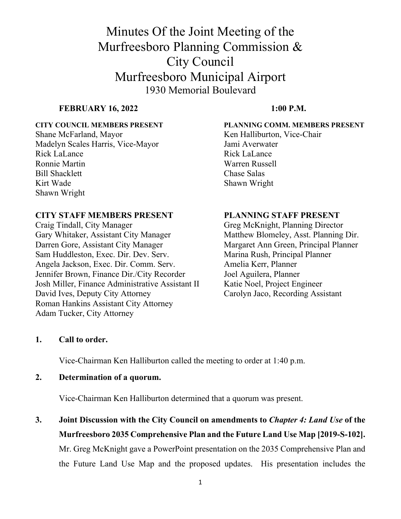#### **FEBRUARY 16, 2022** 1:00 P.M.

Madelyn Scales Harris, Vice-Mayor Jami Averwater Rick LaLance Rick LaLance Ronnie Martin Warren Russell Bill Shacklett Chase Salas Kirt Wade Shawn Wright Shawn Wright

#### **CITY STAFF MEMBERS PRESENT PLANNING STAFF PRESENT**

Craig Tindall, City Manager Greg McKnight, Planning Director Gary Whitaker, Assistant City Manager Matthew Blomeley, Asst. Planning Dir. Darren Gore, Assistant City Manager Margaret Ann Green, Principal Planner Sam Huddleston, Exec. Dir. Dev. Serv. Marina Rush, Principal Planner Angela Jackson, Exec. Dir. Comm. Serv. Amelia Kerr, Planner Jennifer Brown, Finance Dir./City Recorder Joel Aguilera, Planner Josh Miller, Finance Administrative Assistant II Katie Noel, Project Engineer David Ives, Deputy City Attorney Carolyn Jaco, Recording Assistant Roman Hankins Assistant City Attorney Adam Tucker, City Attorney

**CITY COUNCIL MEMBERS PRESENT PLANNING COMM. MEMBERS PRESENT**  Shane McFarland, Mayor Ken Halliburton, Vice-Chair

#### **1. Call to order.**

Vice-Chairman Ken Halliburton called the meeting to order at 1:40 p.m.

**2. Determination of a quorum.** 

Vice-Chairman Ken Halliburton determined that a quorum was present.

**3. Joint Discussion with the City Council on amendments to** *Chapter 4: Land Use* **of the Murfreesboro 2035 Comprehensive Plan and the Future Land Use Map [2019-S-102].**  Mr. Greg McKnight gave a PowerPoint presentation on the 2035 Comprehensive Plan and the Future Land Use Map and the proposed updates. His presentation includes the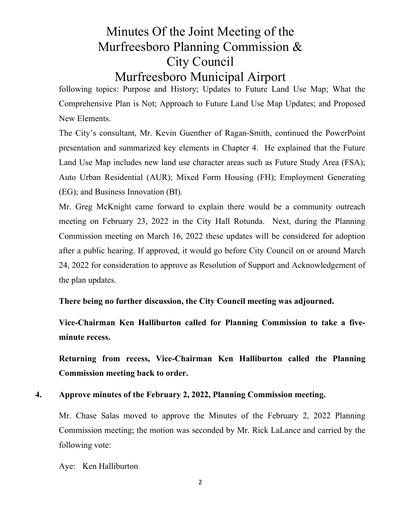# Minutes Of the Joint Meeting of the Murfreesboro Planning Commission & City Council

## Murfreesboro Municipal Airport

following topics: Purpose and History; Updates to Future Land Use Map; What the Comprehensive Plan is Not; Approach to Future Land Use Map Updates; and Proposed New Elements.

The City's consultant, Mr. Kevin Guenther of Ragan-Smith, continued the PowerPoint presentation and summarized key elements in Chapter 4. He explained that the Future Land Use Map includes new land use character areas such as Future Study Area (FSA); Auto Urban Residential (AUR); Mixed Form Housing (FH); Employment Generating (EG); and Business Innovation (BI).

Mr. Greg McKnight came forward to explain there would be a community outreach meeting on February 23, 2022 in the City Hall Rotunda. Next, during the Planning Commission meeting on March 16, 2022 these updates will be considered for adoption after a public hearing. If approved, it would go before City Council on or around March 24, 2022 for consideration to approve as Resolution of Support and Acknowledgement of the plan updates.

**There being no further discussion, the City Council meeting was adjourned.** 

**Vice-Chairman Ken Halliburton called for Planning Commission to take a fiveminute recess.** 

**Returning from recess, Vice-Chairman Ken Halliburton called the Planning Commission meeting back to order.** 

### **4. Approve minutes of the February 2, 2022, Planning Commission meeting.**

Mr. Chase Salas moved to approve the Minutes of the February 2, 2022 Planning Commission meeting; the motion was seconded by Mr. Rick LaLance and carried by the following vote:

Aye: Ken Halliburton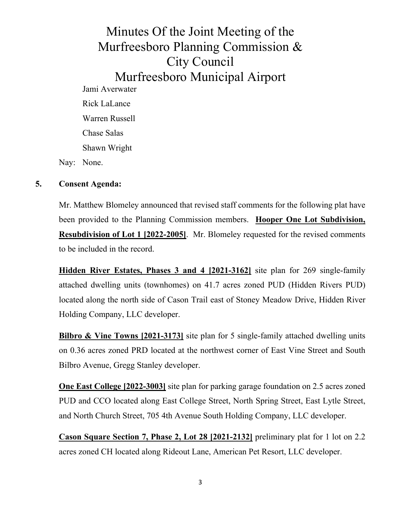Minutes Of the Joint Meeting of the Murfreesboro Planning Commission & City Council Murfreesboro Municipal Airport Jami Averwater Rick LaLance Warren Russell Chase Salas Shawn Wright Nay: None.

#### **5. Consent Agenda:**

Mr. Matthew Blomeley announced that revised staff comments for the following plat have been provided to the Planning Commission members. **Hooper One Lot Subdivision, Resubdivision of Lot 1 [2022-2005]**. Mr. Blomeley requested for the revised comments to be included in the record.

 **Hidden River Estates, Phases 3 and 4 [2021-3162]** site plan for 269 single-family attached dwelling units (townhomes) on 41.7 acres zoned PUD (Hidden Rivers PUD) located along the north side of Cason Trail east of Stoney Meadow Drive, Hidden River Holding Company, LLC developer.

**Bilbro & Vine Towns [2021-3173]** site plan for 5 single-family attached dwelling units on 0.36 acres zoned PRD located at the northwest corner of East Vine Street and South Bilbro Avenue, Gregg Stanley developer.

**One East College [2022-3003]** site plan for parking garage foundation on 2.5 acres zoned PUD and CCO located along East College Street, North Spring Street, East Lytle Street, and North Church Street, 705 4th Avenue South Holding Company, LLC developer.

**Cason Square Section 7, Phase 2, Lot 28 [2021-2132]** preliminary plat for 1 lot on 2.2 acres zoned CH located along Rideout Lane, American Pet Resort, LLC developer.

3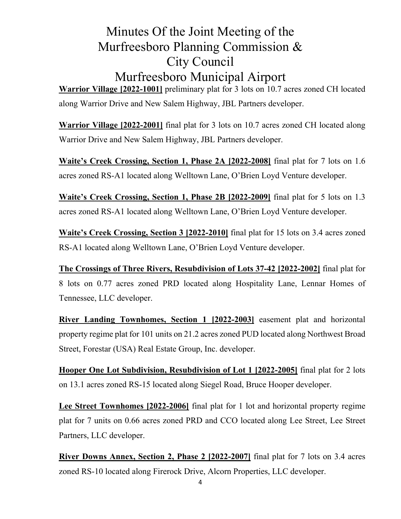**Warrior Village [2022-1001]** preliminary plat for 3 lots on 10.7 acres zoned CH located along Warrior Drive and New Salem Highway, JBL Partners developer.

**Warrior Village [2022-2001]** final plat for 3 lots on 10.7 acres zoned CH located along Warrior Drive and New Salem Highway, JBL Partners developer.

**Waite's Creek Crossing, Section 1, Phase 2A [2022-2008]** final plat for 7 lots on 1.6 acres zoned RS-A1 located along Welltown Lane, O'Brien Loyd Venture developer.

**Waite's Creek Crossing, Section 1, Phase 2B [2022-2009]** final plat for 5 lots on 1.3 acres zoned RS-A1 located along Welltown Lane, O'Brien Loyd Venture developer.

**Waite's Creek Crossing, Section 3 [2022-2010]** final plat for 15 lots on 3.4 acres zoned RS-A1 located along Welltown Lane, O'Brien Loyd Venture developer.

**The Crossings of Three Rivers, Resubdivision of Lots 37-42 [2022-2002]** final plat for 8 lots on 0.77 acres zoned PRD located along Hospitality Lane, Lennar Homes of Tennessee, LLC developer.

**River Landing Townhomes, Section 1 [2022-2003]** easement plat and horizontal property regime plat for 101 units on 21.2 acres zoned PUD located along Northwest Broad Street, Forestar (USA) Real Estate Group, Inc. developer.

**Hooper One Lot Subdivision, Resubdivision of Lot 1 [2022-2005]** final plat for 2 lots on 13.1 acres zoned RS-15 located along Siegel Road, Bruce Hooper developer.

**Lee Street Townhomes [2022-2006]** final plat for 1 lot and horizontal property regime plat for 7 units on 0.66 acres zoned PRD and CCO located along Lee Street, Lee Street Partners, LLC developer.

 **River Downs Annex, Section 2, Phase 2 [2022-2007]** final plat for 7 lots on 3.4 acres zoned RS-10 located along Firerock Drive, Alcorn Properties, LLC developer.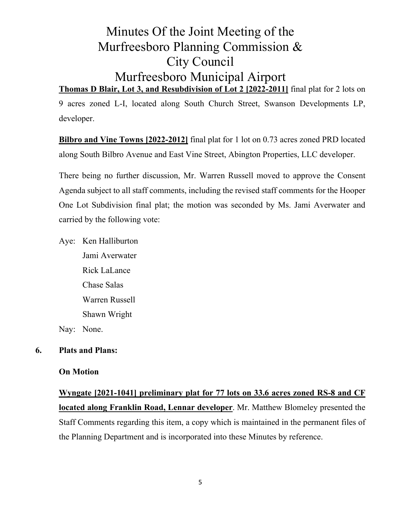## Minutes Of the Joint Meeting of the Murfreesboro Planning Commission & City Council Murfreesboro Municipal Airport **Thomas D Blair, Lot 3, and Resubdivision of Lot 2 [2022-2011]** final plat for 2 lots on

9 acres zoned L-I, located along South Church Street, Swanson Developments LP, developer.

**Bilbro and Vine Towns [2022-2012]** final plat for 1 lot on 0.73 acres zoned PRD located along South Bilbro Avenue and East Vine Street, Abington Properties, LLC developer.

There being no further discussion, Mr. Warren Russell moved to approve the Consent Agenda subject to all staff comments, including the revised staff comments for the Hooper One Lot Subdivision final plat; the motion was seconded by Ms. Jami Averwater and carried by the following vote:

Aye: Ken Halliburton Jami Averwater Rick LaLance Chase Salas Warren Russell Shawn Wright

Nay: None.

### **6. Plats and Plans:**

### **On Motion**

**Wyngate [2021-1041] preliminary plat for 77 lots on 33.6 acres zoned RS-8 and CF located along Franklin Road, Lennar developer**. Mr. Matthew Blomeley presented the Staff Comments regarding this item, a copy which is maintained in the permanent files of the Planning Department and is incorporated into these Minutes by reference.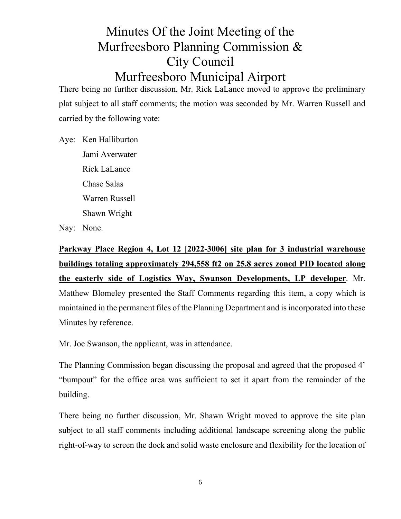There being no further discussion, Mr. Rick LaLance moved to approve the preliminary plat subject to all staff comments; the motion was seconded by Mr. Warren Russell and carried by the following vote:

Aye: Ken Halliburton Jami Averwater Rick LaLance Chase Salas Warren Russell Shawn Wright

Nay: None.

## **Parkway Place Region 4, Lot 12 [2022-3006] site plan for 3 industrial warehouse buildings totaling approximately 294,558 ft2 on 25.8 acres zoned PID located along the easterly side of Logistics Way, Swanson Developments, LP developer**. Mr. Matthew Blomeley presented the Staff Comments regarding this item, a copy which is maintained in the permanent files of the Planning Department and is incorporated into these Minutes by reference.

Mr. Joe Swanson, the applicant, was in attendance.

The Planning Commission began discussing the proposal and agreed that the proposed 4' "bumpout" for the office area was sufficient to set it apart from the remainder of the building.

There being no further discussion, Mr. Shawn Wright moved to approve the site plan subject to all staff comments including additional landscape screening along the public right-of-way to screen the dock and solid waste enclosure and flexibility for the location of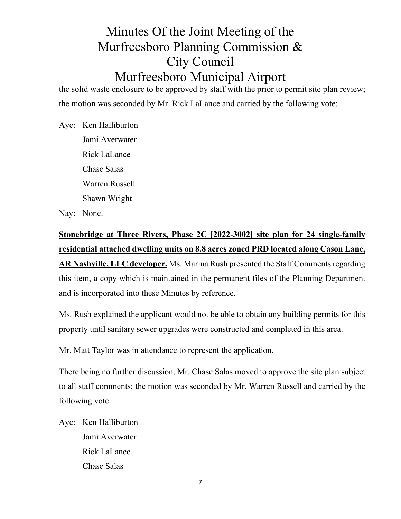the solid waste enclosure to be approved by staff with the prior to permit site plan review; the motion was seconded by Mr. Rick LaLance and carried by the following vote:

Aye: Ken Halliburton Jami Averwater Rick LaLance Chase Salas Warren Russell Shawn Wright

Nay: None.

**Stonebridge at Three Rivers, Phase 2C [2022-3002] site plan for 24 single-family residential attached dwelling units on 8.8 acres zoned PRD located along Cason Lane, AR Nashville, LLC developer.** Ms. Marina Rush presented the Staff Comments regarding this item, a copy which is maintained in the permanent files of the Planning Department and is incorporated into these Minutes by reference.

Ms. Rush explained the applicant would not be able to obtain any building permits for this property until sanitary sewer upgrades were constructed and completed in this area.

Mr. Matt Taylor was in attendance to represent the application.

There being no further discussion, Mr. Chase Salas moved to approve the site plan subject to all staff comments; the motion was seconded by Mr. Warren Russell and carried by the following vote:

Aye: Ken Halliburton Jami Averwater Rick LaLance Chase Salas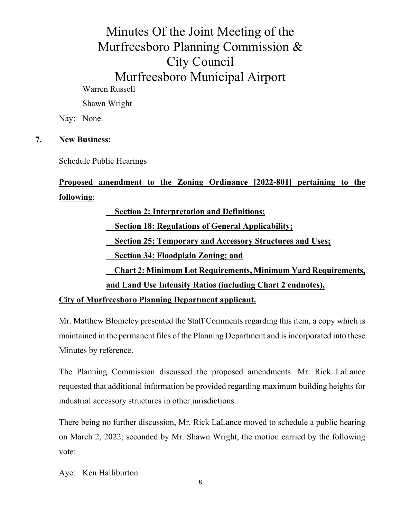Shawn Wright

Nay: None.

#### **7. New Business:**

Schedule Public Hearings

## **Proposed amendment to the Zoning Ordinance [2022-801] pertaining to the following**:

 **Section 2: Interpretation and Definitions; Section 18: Regulations of General Applicability; Section 25: Temporary and Accessory Structures and Uses; Section 34: Floodplain Zoning; and Chart 2: Minimum Lot Requirements, Minimum Yard Requirements, and Land Use Intensity Ratios (including Chart 2 endnotes),** 

**City of Murfreesboro Planning Department applicant.** 

Mr. Matthew Blomeley presented the Staff Comments regarding this item, a copy which is maintained in the permanent files of the Planning Department and is incorporated into these Minutes by reference.

The Planning Commission discussed the proposed amendments. Mr. Rick LaLance requested that additional information be provided regarding maximum building heights for industrial accessory structures in other jurisdictions.

There being no further discussion, Mr. Rick LaLance moved to schedule a public hearing on March 2, 2022; seconded by Mr. Shawn Wright, the motion carried by the following vote:

Aye: Ken Halliburton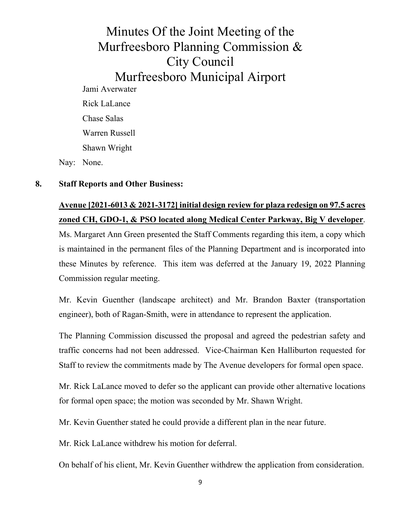Minutes Of the Joint Meeting of the Murfreesboro Planning Commission & City Council Murfreesboro Municipal Airport Jami Averwater Rick LaLance Chase Salas Warren Russell Shawn Wright Nay: None.

#### **8. Staff Reports and Other Business:**

## **Avenue [2021-6013 & 2021-3172] initial design review for plaza redesign on 97.5 acres zoned CH, GDO-1, & PSO located along Medical Center Parkway, Big V developer**.

Ms. Margaret Ann Green presented the Staff Comments regarding this item, a copy which is maintained in the permanent files of the Planning Department and is incorporated into these Minutes by reference. This item was deferred at the January 19, 2022 Planning Commission regular meeting.

Mr. Kevin Guenther (landscape architect) and Mr. Brandon Baxter (transportation engineer), both of Ragan-Smith, were in attendance to represent the application.

The Planning Commission discussed the proposal and agreed the pedestrian safety and traffic concerns had not been addressed. Vice-Chairman Ken Halliburton requested for Staff to review the commitments made by The Avenue developers for formal open space.

Mr. Rick LaLance moved to defer so the applicant can provide other alternative locations for formal open space; the motion was seconded by Mr. Shawn Wright.

Mr. Kevin Guenther stated he could provide a different plan in the near future.

Mr. Rick LaLance withdrew his motion for deferral.

On behalf of his client, Mr. Kevin Guenther withdrew the application from consideration.